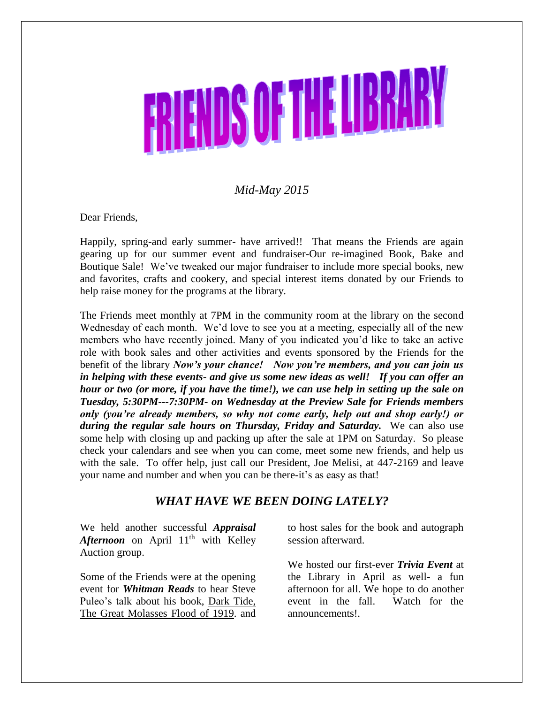# **NENDS OF THE LIBR**

# *Mid-May 2015*

Dear Friends,

Happily, spring-and early summer- have arrived!! That means the Friends are again gearing up for our summer event and fundraiser-Our re-imagined Book, Bake and Boutique Sale! We've tweaked our major fundraiser to include more special books, new and favorites, crafts and cookery, and special interest items donated by our Friends to help raise money for the programs at the library.

The Friends meet monthly at 7PM in the community room at the library on the second Wednesday of each month. We'd love to see you at a meeting, especially all of the new members who have recently joined. Many of you indicated you'd like to take an active role with book sales and other activities and events sponsored by the Friends for the benefit of the library *Now's your chance! Now you're members, and you can join us in helping with these events- and give us some new ideas as well! If you can offer an hour or two (or more, if you have the time!), we can use help in setting up the sale on Tuesday, 5:30PM---7:30PM- on Wednesday at the Preview Sale for Friends members only (you're already members, so why not come early, help out and shop early!) or*  during the regular sale hours on Thursday, Friday and Saturday. We can also use some help with closing up and packing up after the sale at 1PM on Saturday. So please check your calendars and see when you can come, meet some new friends, and help us with the sale. To offer help, just call our President, Joe Melisi, at 447-2169 and leave your name and number and when you can be there-it's as easy as that!

#### *WHAT HAVE WE BEEN DOING LATELY?*

We held another successful *Appraisal Afternoon* on April 11<sup>th</sup> with Kelley Auction group.

Some of the Friends were at the opening event for *Whitman Reads* to hear Steve Puleo's talk about his book, Dark Tide, The Great Molasses Flood of 1919. and to host sales for the book and autograph session afterward.

We hosted our first-ever *Trivia Event* at the Library in April as well- a fun afternoon for all. We hope to do another event in the fall. Watch for the announcements!.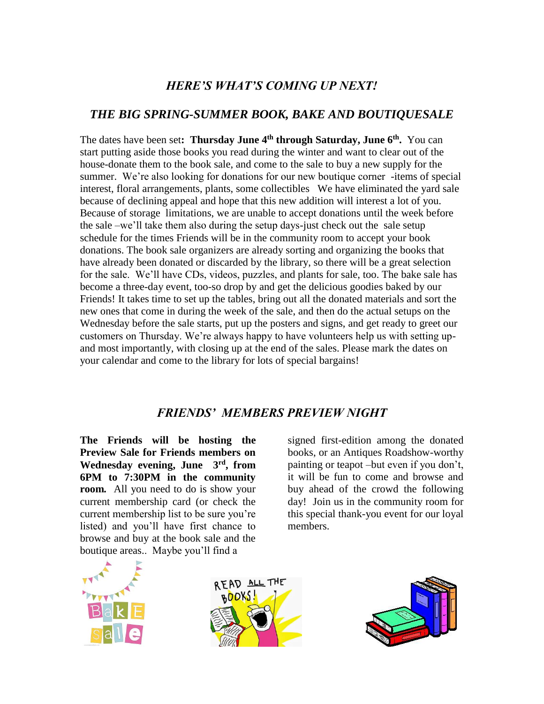# *HERE'S WHAT'S COMING UP NEXT!*

### *THE BIG SPRING-SUMMER BOOK, BAKE AND BOUTIQUESALE*

The dates have been set**: Thursday June 4th through Saturday, June 6th .** You can start putting aside those books you read during the winter and want to clear out of the house-donate them to the book sale, and come to the sale to buy a new supply for the summer. We're also looking for donations for our new boutique corner -items of special interest, floral arrangements, plants, some collectibles We have eliminated the yard sale because of declining appeal and hope that this new addition will interest a lot of you. Because of storage limitations, we are unable to accept donations until the week before the sale –we'll take them also during the setup days-just check out the sale setup schedule for the times Friends will be in the community room to accept your book donations. The book sale organizers are already sorting and organizing the books that have already been donated or discarded by the library, so there will be a great selection for the sale. We'll have CDs, videos, puzzles, and plants for sale, too. The bake sale has become a three-day event, too-so drop by and get the delicious goodies baked by our Friends! It takes time to set up the tables, bring out all the donated materials and sort the new ones that come in during the week of the sale, and then do the actual setups on the Wednesday before the sale starts, put up the posters and signs, and get ready to greet our customers on Thursday. We're always happy to have volunteers help us with setting upand most importantly, with closing up at the end of the sales. Please mark the dates on your calendar and come to the library for lots of special bargains!

### *FRIENDS' MEMBERS PREVIEW NIGHT*

**The Friends will be hosting the Preview Sale for Friends members on Wednesday evening, June 3rd , from 6PM to 7:30PM in the community room***.* All you need to do is show your current membership card (or check the current membership list to be sure you're listed) and you'll have first chance to browse and buy at the book sale and the boutique areas.. Maybe you'll find a

signed first-edition among the donated books, or an Antiques Roadshow-worthy painting or teapot –but even if you don't, it will be fun to come and browse and buy ahead of the crowd the following day! Join us in the community room for this special thank-you event for our loyal members.





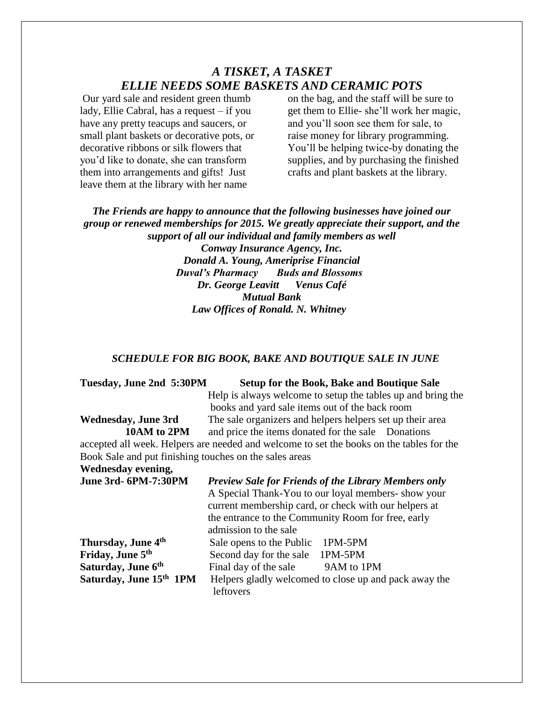#### *A TISKET, A TASKET ELLIE NEEDS SOME BASKETS AND CERAMIC POTS*

Our yard sale and resident green thumb lady, Ellie Cabral, has a request – if you have any pretty teacups and saucers, or small plant baskets or decorative pots, or decorative ribbons or silk flowers that you'd like to donate, she can transform them into arrangements and gifts! Just leave them at the library with her name

on the bag, and the staff will be sure to get them to Ellie- she'll work her magic, and you'll soon see them for sale, to raise money for library programming. You'll be helping twice-by donating the supplies, and by purchasing the finished crafts and plant baskets at the library.

*The Friends are happy to announce that the following businesses have joined our group or renewed memberships for 2015. We greatly appreciate their support, and the support of all our individual and family members as well Conway Insurance Agency, Inc. Donald A. Young, Ameriprise Financial Duval's Pharmacy Buds and Blossoms Dr. George Leavitt Venus Café Mutual Bank*

 *Law Offices of Ronald. N. Whitney*

#### *SCHEDULE FOR BIG BOOK, BAKE AND BOUTIQUE SALE IN JUNE*

| Tuesday, June 2nd 5:30PM                               | <b>Setup for the Book, Bake and Boutique Sale</b>                                        |
|--------------------------------------------------------|------------------------------------------------------------------------------------------|
|                                                        | Help is always welcome to setup the tables up and bring the                              |
|                                                        | books and yard sale items out of the back room                                           |
| Wednesday, June 3rd                                    | The sale organizers and helpers helpers set up their area                                |
| 10AM to 2PM                                            | and price the items donated for the sale Donations                                       |
|                                                        | accepted all week. Helpers are needed and welcome to set the books on the tables for the |
| Book Sale and put finishing touches on the sales areas |                                                                                          |
| Wednesday evening,                                     |                                                                                          |
| <b>June 3rd- 6PM-7:30PM</b>                            | <b>Preview Sale for Friends of the Library Members only</b>                              |
|                                                        | A Special Thank-You to our loyal members- show your                                      |
|                                                        | current membership card, or check with our helpers at                                    |
|                                                        | the entrance to the Community Room for free, early                                       |
|                                                        | admission to the sale                                                                    |
| Thursday, June 4 <sup>th</sup>                         | Sale opens to the Public<br>1PM-5PM                                                      |
| Friday, June 5th                                       | Second day for the sale<br>1PM-5PM                                                       |
| Saturday, June 6th                                     | Final day of the sale<br>9AM to 1PM                                                      |
| Saturday, June 15th 1PM                                | Helpers gladly welcomed to close up and pack away the                                    |

leftovers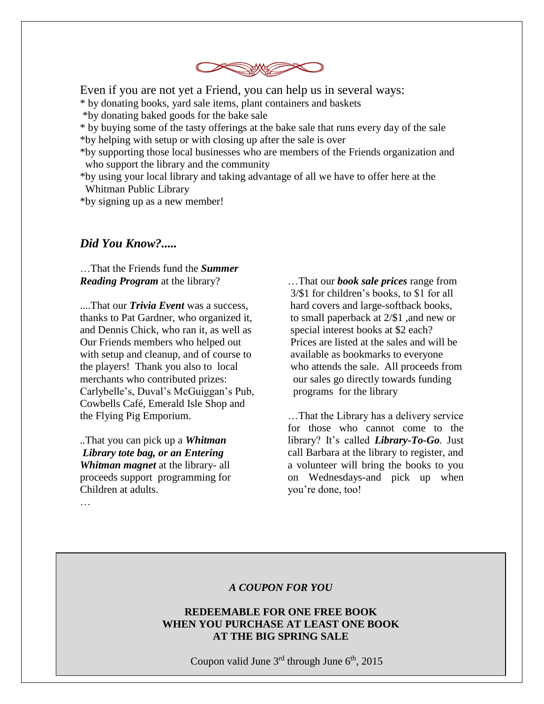

Even if you are not yet a Friend, you can help us in several ways:

\* by donating books, yard sale items, plant containers and baskets

\*by donating baked goods for the bake sale

\* by buying some of the tasty offerings at the bake sale that runs every day of the sale \*by helping with setup or with closing up after the sale is over

\*by supporting those local businesses who are members of the Friends organization and who support the library and the community

\*by using your local library and taking advantage of all we have to offer here at the Whitman Public Library

\*by signing up as a new member!

#### *Did You Know?.....*

…That the Friends fund the *Summer Reading Program* at the library?

....That our *Trivia Event* was a success, thanks to Pat Gardner, who organized it, and Dennis Chick, who ran it, as well as Our Friends members who helped out with setup and cleanup, and of course to the players! Thank you also to local merchants who contributed prizes: Carlybelle's, Duval's McGuiggan's Pub, Cowbells Café, Emerald Isle Shop and the Flying Pig Emporium.

..That you can pick up a *Whitman Library tote bag, or an Entering Whitman magnet* at the library- all proceeds support programming for Children at adults.

…That our *book sale prices* range from 3/\$1 for children's books, to \$1 for all hard covers and large-softback books, to small paperback at 2/\$1 ,and new or special interest books at \$2 each? Prices are listed at the sales and will be available as bookmarks to everyone who attends the sale. All proceeds from our sales go directly towards funding programs for the library

…That the Library has a delivery service for those who cannot come to the library? It's called *Library-To-Go*. Just call Barbara at the library to register, and a volunteer will bring the books to you on Wednesdays-and pick up when you're done, too!

#### *A COUPON FOR YOU*

#### **REDEEMABLE FOR ONE FREE BOOK WHEN YOU PURCHASE AT LEAST ONE BOOK AT THE BIG SPRING SALE**

Coupon valid June  $3<sup>rd</sup>$  through June  $6<sup>th</sup>$ , 2015